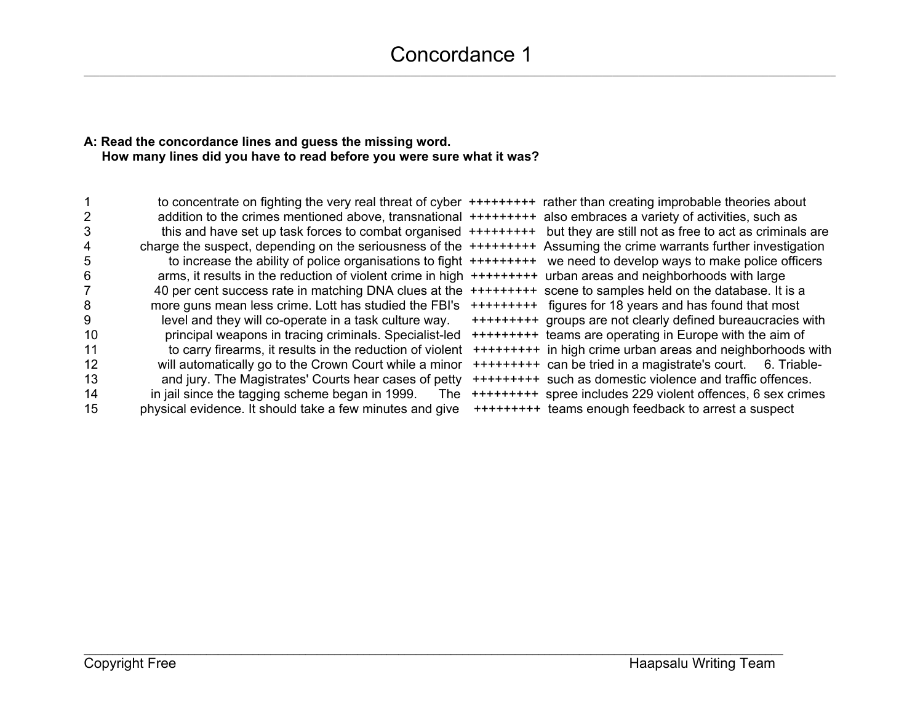## **A: Read the concordance lines and guess the missing word. How many lines did you have to read before you were sure what it was?**

|    | to concentrate on fighting the very real threat of cyber ++++++++++ rather than creating improbable theories about   |                                                                |
|----|----------------------------------------------------------------------------------------------------------------------|----------------------------------------------------------------|
|    | addition to the crimes mentioned above, transnational +++++++++ also embraces a variety of activities, such as       |                                                                |
| 3  | this and have set up task forces to combat organised $++++++$                                                        | but they are still not as free to act as criminals are         |
| 4  | charge the suspect, depending on the seriousness of the ++++++++++ Assuming the crime warrants further investigation |                                                                |
| 5  | to increase the ability of police organisations to fight $++++++++$                                                  | we need to develop ways to make police officers                |
| 6  | arms, it results in the reduction of violent crime in high $++++++$                                                  | urban areas and neighborhoods with large                       |
|    | 40 per cent success rate in matching DNA clues at the                                                                | +++++++++ scene to samples held on the database. It is a       |
| 8  | more guns mean less crime. Lott has studied the FBI's                                                                | +++++++++ figures for 18 years and has found that most         |
| 9  | level and they will co-operate in a task culture way.                                                                | +++++++++ groups are not clearly defined bureaucracies with    |
| 10 | principal weapons in tracing criminals. Specialist-led                                                               | +++++++++ teams are operating in Europe with the aim of        |
| 11 | to carry firearms, it results in the reduction of violent                                                            | +++++++++ in high crime urban areas and neighborhoods with     |
| 12 | will automatically go to the Crown Court while a minor                                                               | +++++++++ can be tried in a magistrate's court.<br>6. Triable- |
| 13 | and jury. The Magistrates' Courts hear cases of petty                                                                | +++++++++ such as domestic violence and traffic offences.      |
| 14 | in jail since the tagging scheme began in 1999.<br>The:                                                              | +++++++++ spree includes 229 violent offences, 6 sex crimes    |
| 15 | physical evidence. It should take a few minutes and give                                                             | +++++++++ teams enough feedback to arrest a suspect            |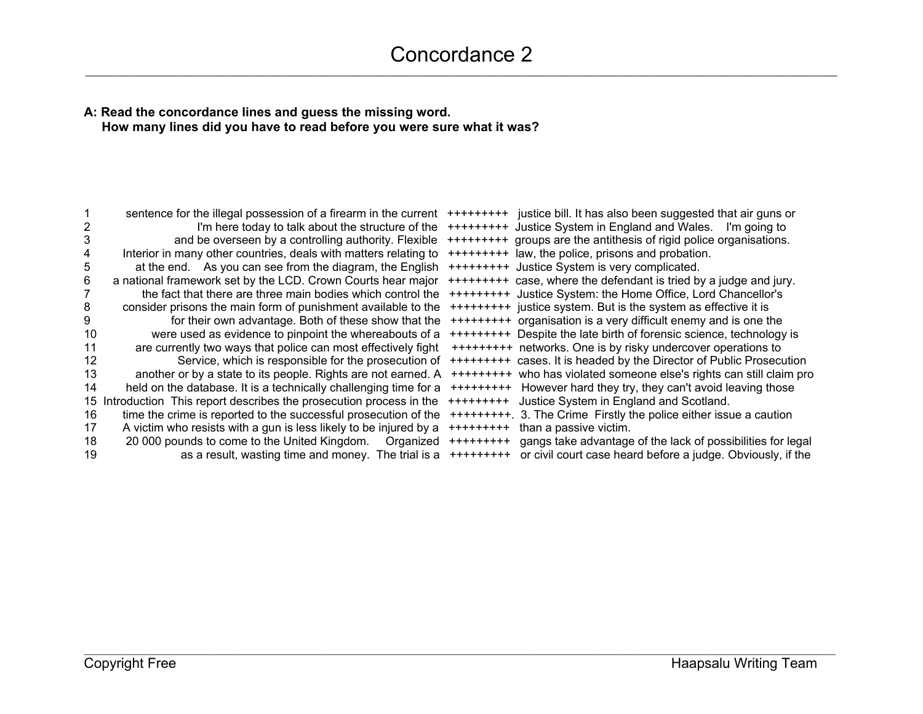# Concordance 2

#### **A: Read the concordance lines and guess the missing word. How many lines did you have to read before you were sure what it was?**

|    | sentence for the illegal possession of a firearm in the current<br>I'm here today to talk about the structure of the |           | +++++++++ justice bill. It has also been suggested that air guns or<br>+++++++++ Justice System in England and Wales.<br>I'm going to |
|----|----------------------------------------------------------------------------------------------------------------------|-----------|---------------------------------------------------------------------------------------------------------------------------------------|
| 3  | and be overseen by a controlling authority. Flexible                                                                 |           | +++++++++ groups are the antithesis of rigid police organisations.                                                                    |
|    | Interior in many other countries, deals with matters relating to                                                     |           | +++++++++ law, the police, prisons and probation.                                                                                     |
|    | at the end. As you can see from the diagram, the English                                                             |           | +++++++++ Justice System is very complicated.                                                                                         |
| 6  | a national framework set by the LCD. Crown Courts hear major                                                         |           | +++++++++ case, where the defendant is tried by a judge and jury.                                                                     |
|    | the fact that there are three main bodies which control the                                                          |           | +++++++++ Justice System: the Home Office, Lord Chancellor's                                                                          |
| 8  | consider prisons the main form of punishment available to the                                                        |           | +++++++++ justice system. But is the system as effective it is                                                                        |
|    |                                                                                                                      |           |                                                                                                                                       |
|    | for their own advantage. Both of these show that the                                                                 |           | +++++++++ organisation is a very difficult enemy and is one the                                                                       |
| 10 | were used as evidence to pinpoint the whereabouts of a                                                               |           | +++++++++ Despite the late birth of forensic science, technology is                                                                   |
| 11 | are currently two ways that police can most effectively fight                                                        |           | +++++++++ networks. One is by risky undercover operations to                                                                          |
| 12 | Service, which is responsible for the prosecution of                                                                 |           | +++++++++ cases. It is headed by the Director of Public Prosecution                                                                   |
| 13 | another or by a state to its people. Rights are not earned. A                                                        |           | +++++++++ who has violated someone else's rights can still claim pro                                                                  |
| 14 | held on the database. It is a technically challenging time for a                                                     | ++++++++  | However hard they try, they can't avoid leaving those                                                                                 |
|    | 15 Introduction This report describes the prosecution process in the                                                 | +++++++++ | Justice System in England and Scotland.                                                                                               |
| 16 | time the crime is reported to the successful prosecution of the                                                      |           | +++++++++. 3. The Crime Firstly the police either issue a caution                                                                     |
| 17 | A victim who resists with a gun is less likely to be injured by a                                                    | +++++++++ | than a passive victim.                                                                                                                |
| 18 | 20 000 pounds to come to the United Kingdom.<br>Organized                                                            | +++++++++ | gangs take advantage of the lack of possibilities for legal                                                                           |
| 19 | as a result, wasting time and money. The trial is a                                                                  | ++++++++  | or civil court case heard before a judge. Obviously, if the                                                                           |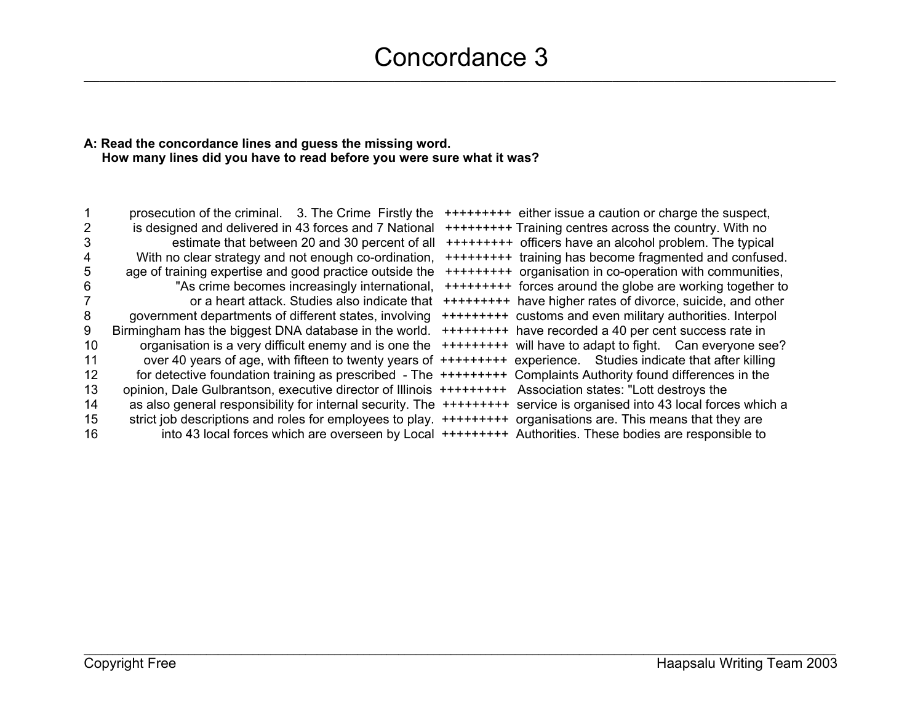# **A: Read the concordance lines and guess the missing word. How many lines did you have to read before you were sure what it was?**

|    | prosecution of the criminal. 3. The Crime Firstly the                                                           | +++++++++ either issue a caution or charge the suspect,    |
|----|-----------------------------------------------------------------------------------------------------------------|------------------------------------------------------------|
|    | is designed and delivered in 43 forces and 7 National                                                           |                                                            |
| 3  | estimate that between 20 and 30 percent of all                                                                  | +++++++++ officers have an alcohol problem. The typical    |
|    | With no clear strategy and not enough co-ordination,                                                            | +++++++++ training has become fragmented and confused.     |
|    | age of training expertise and good practice outside the                                                         | +++++++++ organisation in co-operation with communities,   |
| 6  | "As crime becomes increasingly international,                                                                   | +++++++++ forces around the globe are working together to  |
|    | or a heart attack. Studies also indicate that                                                                   | +++++++++ have higher rates of divorce, suicide, and other |
| 8  | government departments of different states, involving                                                           | +++++++++ customs and even military authorities. Interpol  |
| 9  | Birmingham has the biggest DNA database in the world.                                                           | +++++++++ have recorded a 40 per cent success rate in      |
| 10 | organisation is a very difficult enemy and is one the                                                           | +++++++++ will have to adapt to fight. Can everyone see?   |
| 11 | over 40 years of age, with fifteen to twenty years of +++++++++ experience. Studies indicate that after killing |                                                            |
| 12 | for detective foundation training as prescribed - The +++++++++ Complaints Authority found differences in the   |                                                            |
| 13 | opinion, Dale Gulbrantson, executive director of Illinois ++++++++++                                            | Association states: "Lott destroys the                     |
| 14 | as also general responsibility for internal security. The ++++++++++                                            | service is organised into 43 local forces which a          |
| 15 | strict job descriptions and roles for employees to play. ++++++++++                                             | organisations are. This means that they are                |
| 16 | into 43 local forces which are overseen by Local ++++++++++ Authorities. These bodies are responsible to        |                                                            |